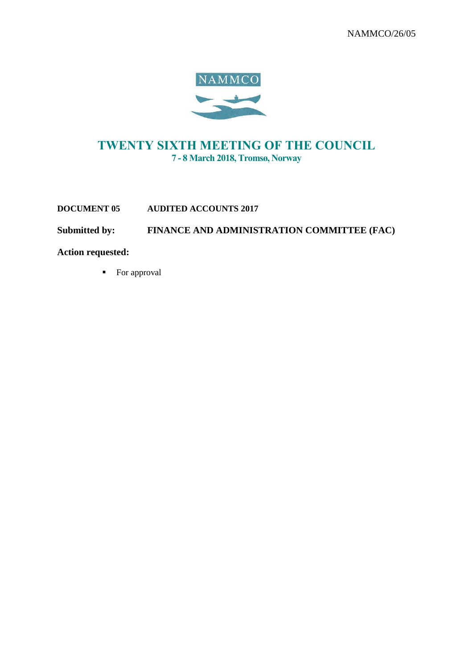NAMMCO/26/05



### TWENTY SIXTH MEETING OF THE COUNCIL 7 - 8 March 2018, Tromsø, Norway

**DOCUMENT 05 AUDITED ACCOUNTS 2017**

#### **Submitted by: FINANCE AND ADMINISTRATION COMMITTEE (FAC)**

**Action requested:**

■ For approval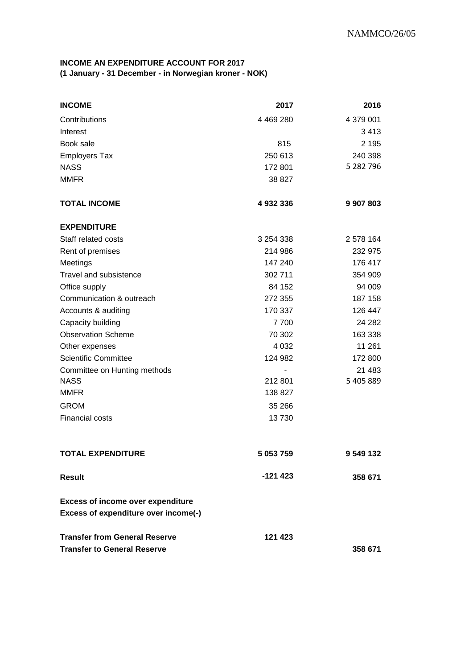#### **INCOME AN EXPENDITURE ACCOUNT FOR 2017 (1 January - 31 December - in Norwegian kroner - NOK)**

| <b>INCOME</b>                                                                    | 2017        | 2016      |
|----------------------------------------------------------------------------------|-------------|-----------|
| Contributions                                                                    | 4 4 69 2 80 | 4 379 001 |
| Interest                                                                         |             | 3413      |
| Book sale                                                                        | 815         | 2 1 9 5   |
| <b>Employers Tax</b>                                                             | 250 613     | 240 398   |
| <b>NASS</b>                                                                      | 172 801     | 5 282 796 |
| <b>MMFR</b>                                                                      | 38 827      |           |
| <b>TOTAL INCOME</b>                                                              | 4 932 336   | 9 907 803 |
| <b>EXPENDITURE</b>                                                               |             |           |
| Staff related costs                                                              | 3 254 338   | 2 578 164 |
| Rent of premises                                                                 | 214 986     | 232 975   |
| Meetings                                                                         | 147 240     | 176 417   |
| <b>Travel and subsistence</b>                                                    | 302 711     | 354 909   |
| Office supply                                                                    | 84 152      | 94 009    |
| Communication & outreach                                                         | 272 355     | 187 158   |
| Accounts & auditing                                                              | 170 337     | 126 447   |
| Capacity building                                                                | 7700        | 24 282    |
| <b>Observation Scheme</b>                                                        | 70 302      | 163 338   |
| Other expenses                                                                   | 4 0 3 2     | 11 261    |
| <b>Scientific Committee</b>                                                      | 124 982     | 172 800   |
| Committee on Hunting methods                                                     |             | 21 483    |
| <b>NASS</b>                                                                      | 212 801     | 5 405 889 |
| <b>MMFR</b>                                                                      | 138 827     |           |
| <b>GROM</b>                                                                      | 35 266      |           |
| <b>Financial costs</b>                                                           | 13730       |           |
| TOTAL EXPENDITURE                                                                | 5 053 759   | 9 549 132 |
| <b>Result</b>                                                                    | $-121423$   | 358 671   |
| <b>Excess of income over expenditure</b><br>Excess of expenditure over income(-) |             |           |
| <b>Transfer from General Reserve</b>                                             | 121 423     |           |
| <b>Transfer to General Reserve</b>                                               |             | 358 671   |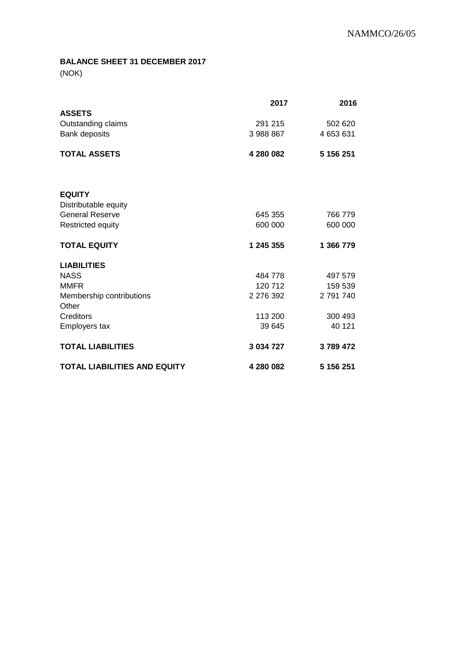### **BALANCE SHEET 31 DECEMBER 2017**

(NOK)

|                                     | 2017        | 2016      |  |
|-------------------------------------|-------------|-----------|--|
| <b>ASSETS</b>                       |             |           |  |
| Outstanding claims                  | 291 215     | 502 620   |  |
| <b>Bank deposits</b>                | 3 988 867   | 4 653 631 |  |
| <b>TOTAL ASSETS</b>                 | 4 280 082   | 5 156 251 |  |
| <b>EQUITY</b>                       |             |           |  |
| Distributable equity                |             |           |  |
| <b>General Reserve</b>              | 645 355     | 766 779   |  |
| Restricted equity                   | 600 000     | 600 000   |  |
| <b>TOTAL EQUITY</b>                 | 1 245 355   | 1 366 779 |  |
| <b>LIABILITIES</b>                  |             |           |  |
| <b>NASS</b>                         | 484 778     | 497 579   |  |
| <b>MMFR</b>                         | 120 712     | 159 539   |  |
| Membership contributions<br>Other   | 2 276 392   | 2 791 740 |  |
| Creditors                           | 113 200     | 300 493   |  |
| Employers tax                       | 39 645      | 40 121    |  |
| <b>TOTAL LIABILITIES</b>            | 3 0 34 7 27 | 3789472   |  |
| <b>TOTAL LIABILITIES AND EQUITY</b> | 4 280 082   | 5 156 251 |  |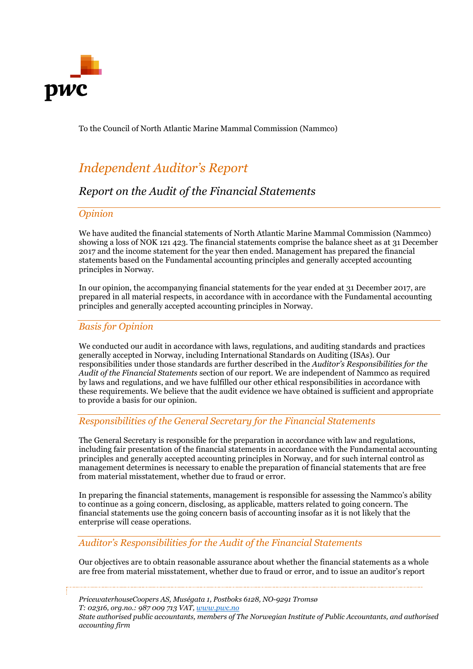

To the Council of North Atlantic Marine Mammal Commission (Nammco)

# *Independent Auditor's Report*

### *Report on the Audit of the Financial Statements*

#### *Opinion*

We have audited the financial statements of North Atlantic Marine Mammal Commission (Nammco) showing a loss of NOK 121 423. The financial statements comprise the balance sheet as at 31 December 2017 and the income statement for the year then ended. Management has prepared the financial statements based on the Fundamental accounting principles and generally accepted accounting principles in Norway.

In our opinion, the accompanying financial statements for the year ended at 31 December 2017, are prepared in all material respects, in accordance with in accordance with the Fundamental accounting principles and generally accepted accounting principles in Norway.

#### *Basis for Opinion*

We conducted our audit in accordance with laws, regulations, and auditing standards and practices generally accepted in Norway, including International Standards on Auditing (ISAs). Our responsibilities under those standards are further described in the *Auditor's Responsibilities for the Audit of the Financial Statements* section of our report. We are independent of Nammco as required by laws and regulations, and we have fulfilled our other ethical responsibilities in accordance with these requirements. We believe that the audit evidence we have obtained is sufficient and appropriate to provide a basis for our opinion.

#### *Responsibilities of the General Secretary for the Financial Statements*

The General Secretary is responsible for the preparation in accordance with law and regulations, including fair presentation of the financial statements in accordance with the Fundamental accounting principles and generally accepted accounting principles in Norway, and for such internal control as management determines is necessary to enable the preparation of financial statements that are free from material misstatement, whether due to fraud or error.

In preparing the financial statements, management is responsible for assessing the Nammco's ability to continue as a going concern, disclosing, as applicable, matters related to going concern. The financial statements use the going concern basis of accounting insofar as it is not likely that the enterprise will cease operations.

#### *Auditor's Responsibilities for the Audit of the Financial Statements*

Our objectives are to obtain reasonable assurance about whether the financial statements as a whole are free from material misstatement, whether due to fraud or error, and to issue an auditor's report

*PricewaterhouseCoopers AS, Muségata 1, Postboks 6128, NO-9291 Tromsø T: 02316, org.no.: 987 009 713 VAT[, www.pwc.no](http://www.pwc.no/) State authorised public accountants, members of The Norwegian Institute of Public Accountants, and authorised accounting firm*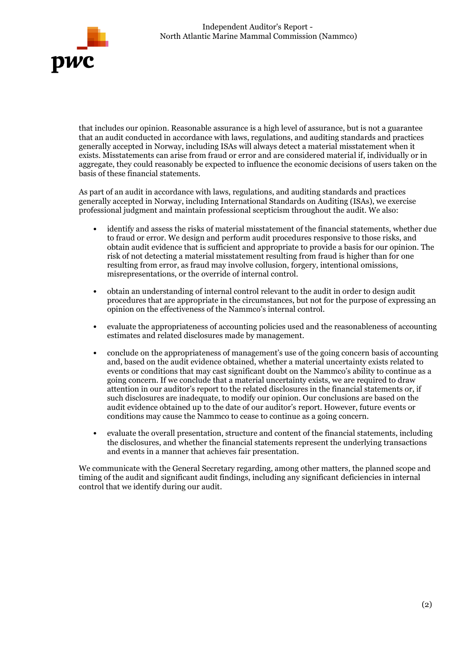

that includes our opinion. Reasonable assurance is a high level of assurance, but is not a guarantee that an audit conducted in accordance with laws, regulations, and auditing standards and practices generally accepted in Norway, including ISAs will always detect a material misstatement when it exists. Misstatements can arise from fraud or error and are considered material if, individually or in aggregate, they could reasonably be expected to influence the economic decisions of users taken on the basis of these financial statements.

As part of an audit in accordance with laws, regulations, and auditing standards and practices generally accepted in Norway, including International Standards on Auditing (ISAs), we exercise professional judgment and maintain professional scepticism throughout the audit. We also:

- identify and assess the risks of material misstatement of the financial statements, whether due to fraud or error. We design and perform audit procedures responsive to those risks, and obtain audit evidence that is sufficient and appropriate to provide a basis for our opinion. The risk of not detecting a material misstatement resulting from fraud is higher than for one resulting from error, as fraud may involve collusion, forgery, intentional omissions, misrepresentations, or the override of internal control.
- obtain an understanding of internal control relevant to the audit in order to design audit procedures that are appropriate in the circumstances, but not for the purpose of expressing an opinion on the effectiveness of the Nammco's internal control.
- evaluate the appropriateness of accounting policies used and the reasonableness of accounting estimates and related disclosures made by management.
- conclude on the appropriateness of management's use of the going concern basis of accounting and, based on the audit evidence obtained, whether a material uncertainty exists related to events or conditions that may cast significant doubt on the Nammco's ability to continue as a going concern. If we conclude that a material uncertainty exists, we are required to draw attention in our auditor's report to the related disclosures in the financial statements or, if such disclosures are inadequate, to modify our opinion. Our conclusions are based on the audit evidence obtained up to the date of our auditor's report. However, future events or conditions may cause the Nammco to cease to continue as a going concern.
- evaluate the overall presentation, structure and content of the financial statements, including the disclosures, and whether the financial statements represent the underlying transactions and events in a manner that achieves fair presentation.

We communicate with the General Secretary regarding, among other matters, the planned scope and timing of the audit and significant audit findings, including any significant deficiencies in internal control that we identify during our audit.